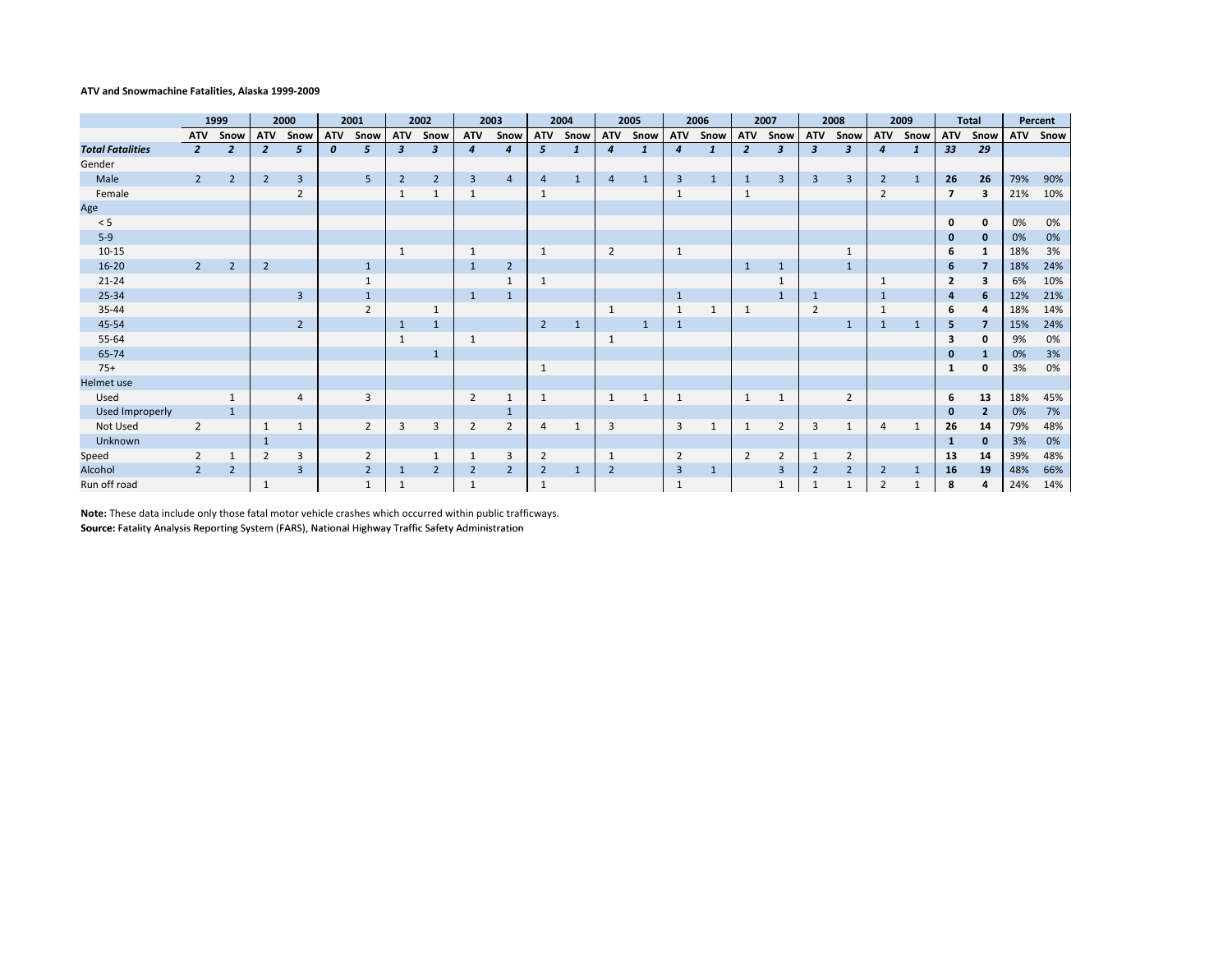## **ATV and Snowmachine Fatalities, Alaska 1999‐2009**

|                         | 1999           |                | 2000           |                         | 2001             |                | 2002                      |                | 2003             |                | 2004           |              | 2005           |              | 2006           |              | 2007           |                | 2008             |                | 2009           |              | <b>Total</b>   |                         | Percent    |      |
|-------------------------|----------------|----------------|----------------|-------------------------|------------------|----------------|---------------------------|----------------|------------------|----------------|----------------|--------------|----------------|--------------|----------------|--------------|----------------|----------------|------------------|----------------|----------------|--------------|----------------|-------------------------|------------|------|
|                         | <b>ATV</b>     | Snow           | <b>ATV</b>     | Snow                    | ATV              | Snow           | ATV                       | Snow           | <b>ATV</b>       | Snow           | <b>ATV</b>     | Snow         | <b>ATV</b>     | Snow         | <b>ATV</b>     | Snow         | ATV            | Snow           | <b>ATV</b>       | Snow           | <b>ATV</b>     | Snow         |                | ATV Snow                | <b>ATV</b> | Snow |
| <b>Total Fatalities</b> | $\overline{2}$ | $\overline{2}$ | $\overline{2}$ | 5                       | $\boldsymbol{0}$ | 5              | $\boldsymbol{\mathsf{3}}$ | 3              | $\boldsymbol{4}$ | $\overline{4}$ | 5              | $\mathbf{1}$ | 4              | $\mathbf{1}$ | $\overline{4}$ | $\mathbf{1}$ | $\overline{2}$ | 3              | $\boldsymbol{3}$ | 3              | 4              | 1            | 33             | 29                      |            |      |
| Gender                  |                |                |                |                         |                  |                |                           |                |                  |                |                |              |                |              |                |              |                |                |                  |                |                |              |                |                         |            |      |
| Male                    | $2^{\circ}$    | $\overline{2}$ | $\overline{2}$ | $\overline{\mathbf{3}}$ |                  | 5              | $\overline{2}$            | $\overline{2}$ | 3                | $\overline{4}$ | $\overline{4}$ | $\mathbf{1}$ | $\overline{4}$ | $\mathbf{1}$ | $\overline{3}$ | 1            | 1              | 3              | 3                | $\overline{3}$ | 2              | $\mathbf{1}$ | 26             | 26                      | 79%        | 90%  |
| Female                  |                |                |                | $\overline{2}$          |                  |                | 1                         | 1              | $\mathbf{1}$     |                | 1              |              |                |              | $\mathbf{1}$   |              | $\mathbf{1}$   |                |                  |                | $\overline{2}$ |              | $\overline{7}$ | $\overline{\mathbf{3}}$ | 21%        | 10%  |
| Age                     |                |                |                |                         |                  |                |                           |                |                  |                |                |              |                |              |                |              |                |                |                  |                |                |              |                |                         |            |      |
| < 5                     |                |                |                |                         |                  |                |                           |                |                  |                |                |              |                |              |                |              |                |                |                  |                |                |              | $\mathbf{0}$   | 0                       | 0%         | 0%   |
| $5-9$                   |                |                |                |                         |                  |                |                           |                |                  |                |                |              |                |              |                |              |                |                |                  |                |                |              | 0              | $\mathbf{0}$            | 0%         | 0%   |
| $10 - 15$               |                |                |                |                         |                  |                | $\mathbf{1}$              |                | $\mathbf{1}$     |                |                |              | $\overline{2}$ |              | $\mathbf{1}$   |              |                |                |                  |                |                |              | 6              | 1                       | 18%        | 3%   |
| $16 - 20$               | $\overline{2}$ | $\overline{2}$ | $\overline{2}$ |                         |                  | $\mathbf{1}$   |                           |                | $\overline{1}$   | $\overline{2}$ |                |              |                |              |                |              | $\mathbf{1}$   | $\mathbf{1}$   |                  | $\mathbf{1}$   |                |              | 6              | $\overline{\mathbf{z}}$ | 18%        | 24%  |
| $21 - 24$               |                |                |                |                         |                  |                |                           |                |                  | 1              |                |              |                |              |                |              |                |                |                  |                |                |              | 2              | 3                       | 6%         | 10%  |
| 25-34                   |                |                |                | $\overline{3}$          |                  | $\mathbf{1}$   |                           |                | 1                | $\mathbf{1}$   |                |              |                |              | 1              |              |                | $\mathbf{1}$   | $\mathbf{1}$     |                |                |              | 4              | 6                       | 12%        | 21%  |
| 35-44                   |                |                |                |                         |                  | $\overline{2}$ |                           |                |                  |                |                |              | 1              |              | $\mathbf{1}$   |              | $\mathbf{1}$   |                | $\overline{2}$   |                |                |              | 6              | 4                       | 18%        | 14%  |
| 45-54                   |                |                |                | $\overline{2}$          |                  |                | 1                         | $\mathbf{1}$   |                  |                | $\overline{2}$ | $\mathbf{1}$ |                | $\mathbf{1}$ | $\mathbf{1}$   |              |                |                |                  | 1              | $\mathbf{1}$   | $\mathbf{1}$ | 5              | $\overline{7}$          | 15%        | 24%  |
| 55-64                   |                |                |                |                         |                  |                | 1                         |                | $\mathbf{1}$     |                |                |              | 1              |              |                |              |                |                |                  |                |                |              | 3              | $\mathbf 0$             | 9%         | 0%   |
| 65-74                   |                |                |                |                         |                  |                |                           |                |                  |                |                |              |                |              |                |              |                |                |                  |                |                |              | $\bf{0}$       | 1                       | 0%         | 3%   |
| $75+$                   |                |                |                |                         |                  |                |                           |                |                  |                |                |              |                |              |                |              |                |                |                  |                |                |              | 1              | $\mathbf 0$             | 3%         | 0%   |
| Helmet use              |                |                |                |                         |                  |                |                           |                |                  |                |                |              |                |              |                |              |                |                |                  |                |                |              |                |                         |            |      |
| Used                    |                | $\mathbf{1}$   |                | 4                       |                  | 3              |                           |                | $\overline{2}$   | $\mathbf{1}$   | 1              |              | $\mathbf{1}$   | 1            | $\mathbf{1}$   |              | $\mathbf{1}$   | $\mathbf{1}$   |                  | $\overline{2}$ |                |              | 6              | 13                      | 18%        | 45%  |
| Used Improperly         |                | 1              |                |                         |                  |                |                           |                |                  | 1              |                |              |                |              |                |              |                |                |                  |                |                |              | o              | $\overline{2}$          | 0%         | 7%   |
| Not Used                | $\overline{2}$ |                | $\mathbf{1}$   | $\mathbf{1}$            |                  | $\overline{2}$ | 3                         | 3              | $\overline{2}$   | $\overline{2}$ | $\overline{4}$ | $\mathbf{1}$ | 3              |              | $\overline{3}$ | 1            | $\mathbf{1}$   | $\overline{2}$ | 3                | $\mathbf{1}$   | $\overline{4}$ | $\mathbf{1}$ | 26             | 14                      | 79%        | 48%  |
| Unknown                 |                |                | 1              |                         |                  |                |                           |                |                  |                |                |              |                |              |                |              |                |                |                  |                |                |              | 1              | $\mathbf{0}$            | 3%         | 0%   |
| Speed                   | $\overline{2}$ | 1              | $\overline{2}$ | 3                       |                  | $\overline{2}$ |                           | $\mathbf{1}$   |                  | 3              | $\overline{2}$ |              | 1              |              | $\overline{2}$ |              | $\overline{2}$ | 2              |                  | $\overline{2}$ |                |              | 13             | 14                      | 39%        | 48%  |
| Alcohol                 | $\overline{2}$ | $\overline{2}$ |                | $\overline{3}$          |                  | $\overline{2}$ | 1                         | $\overline{2}$ | $\overline{2}$   | $\overline{2}$ | $\overline{2}$ | $\mathbf{1}$ | $\overline{2}$ |              | $\overline{3}$ | $\mathbf{1}$ |                | 3              | $\overline{2}$   | $\overline{2}$ | 2              | 1            | 16             | 19                      | 48%        | 66%  |
| Run off road            |                |                | 1              |                         |                  |                | 1                         |                |                  |                |                |              |                |              | 1              |              |                |                |                  |                | $\overline{2}$ |              | 8              | 4                       | 24%        | 14%  |

**Note:** These data include only those fatal motor vehicle crashes which occurred within public trafficways. **Source:** Fatality Analysis Reporting System (FARS), National Highway Traffic Safety Administration